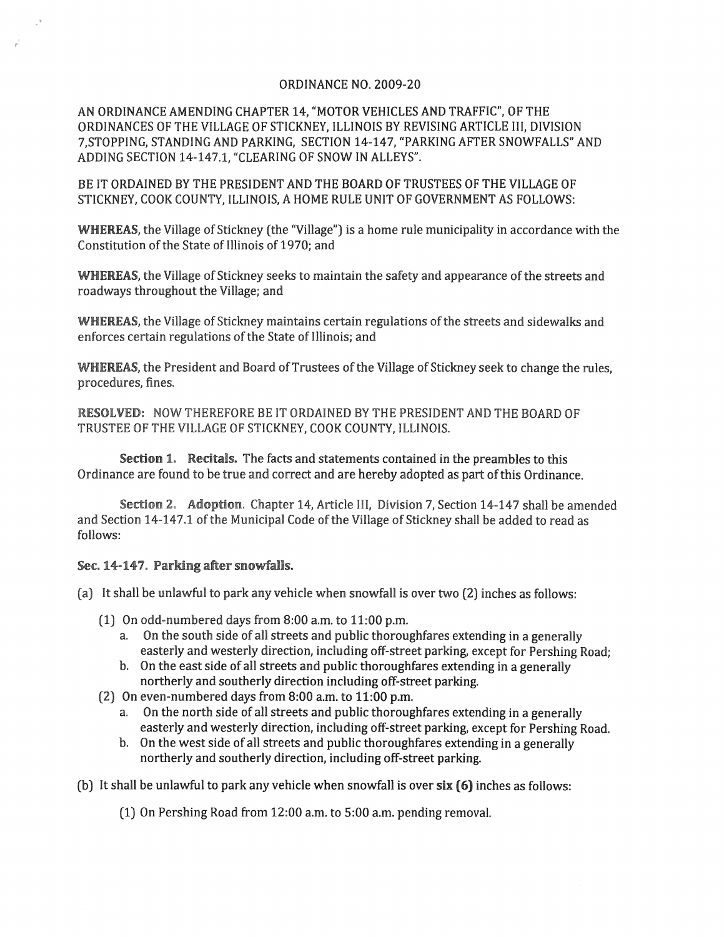## ORDINANCE NO. 2009-20

AN ORDINANCE AMENDING CHAPTER 14, "MOTOR VEHICLES AND TRAFFIC", OF THE ORDINANCES OF THE VILLAGE OF STICKNEY, ILLINOIS BY REVISING ARTICLE III, DIVISION 7,STOPPING, STANDING AND PARKING, SECTION 14-147, "PARKING AFTER SNOWFALLS" AND ADDING SECTION 14-147.1, "CLEARING OF SNOW IN ALLEYS".

BE IT ORDAINED BY THE PRESIDENT AND THE BOARD OF TRUSTEES OF THE VILLAGE OF STICKNEY, COOK COUNTY, ILLINOIS, A HOME RULE UNIT OF GOVERNMENT AS FOLLOWS:

WHEREAS, the Village of Stickney (the "Village") is a home rule municipality in accordance with the Constitution of the State of Illinois of 1970; and

WHEREAS, the Village of Stickney seeks to maintain the safety and appearance of the streets and roadways throughout the Village; and

WHEREAS, the Village of Stickney maintains certain regulations of the streets and sidewalks and enforces certain regulations of the State of Illinois; and

WHEREAS, the President and Board of Trustees of the Village of Stickney seek to change the rules, procedures, fines.

RESOLVED: NOW THEREFORE BE IT ORDAINED BY THE PRESIDENT AND THE BOARD OF TRUSTEE OF THE VILLAGE OF STICKNEY, COOK COUNTY, ILLINOIS.

Section 1. Recitals. The facts and statements contained in the preambles to this Ordinance are found to be true and correct and are hereby adopted as part of this Ordinance.

Section 2. Adoption. Chapter 14, Article III, Division 7, Section 14-147 shall be amended and Section 14-147.1 of the Municipal Code of the Village of Stickney shall be added to read as follows:

## Sec. 14-147. Parking after snowfalls.

.'

(a) It shall be unlawful to park any vehicle when snowfall is over two (2) inches as follows:

- (1) On odd-numbered days from 8:00 a.m. to 11:00 p.m.
	- a. On the south side of all streets and public thoroughfares extending in a generally easterly and westerly direction, including off-street parking, except for Pershing Road;
	- b. On the east side of all streets and public thoroughfares extending in a generally northerly and southerly direction including off-street parking.
- (2) On even-numbered days from 8:00 a.m. to 11:00 p.m.
	- a. On the north side of all streets and public thoroughfares extending in a generally easterly and westerly direction, including off-street parking, except for Pershing Road.
	- b. On the west side of all streets and public thoroughfares extending in a generally northerly and southerly direction, including off-street parking.

(b) It shall be unlawful to park any vehicle when snowfall is over six (6) inches as follows:

(1) On Pershing Road from 12:00 a.m. to 5:00 a.m. pending removal.